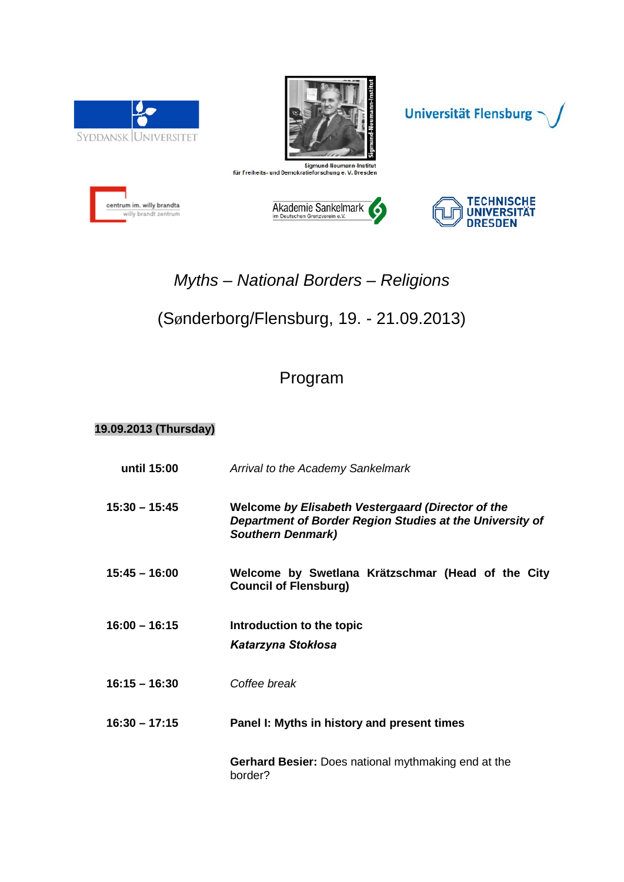





centrum im. willy brandta willy brandt zentrum





# *Myths – National Borders – Religions*

## (Sønderborg/Flensburg, 19. - 21.09.2013)

## Program

#### **19.09.2013 (Thursday)**

| until 15:00     | Arrival to the Academy Sankelmark                                                                                                         |  |
|-----------------|-------------------------------------------------------------------------------------------------------------------------------------------|--|
| $15:30 - 15:45$ | Welcome by Elisabeth Vestergaard (Director of the<br>Department of Border Region Studies at the University of<br><b>Southern Denmark)</b> |  |
| $15:45 - 16:00$ | Welcome by Swetlana Krätzschmar (Head of the City<br><b>Council of Flensburg)</b>                                                         |  |
| $16:00 - 16:15$ | Introduction to the topic<br>Katarzyna Stokłosa                                                                                           |  |
| $16:15 - 16:30$ | Coffee break                                                                                                                              |  |
| $16:30 - 17:15$ | Panel I: Myths in history and present times                                                                                               |  |
|                 | <b>Gerhard Besier:</b> Does national mythmaking end at the<br>border?                                                                     |  |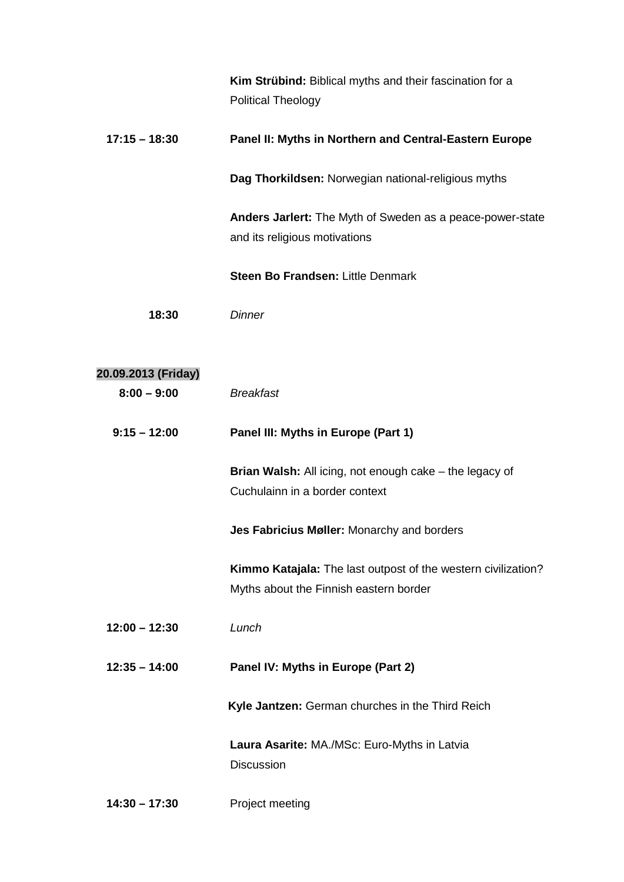|                     | Kim Strübind: Biblical myths and their fascination for a<br><b>Political Theology</b>                   |
|---------------------|---------------------------------------------------------------------------------------------------------|
| $17:15 - 18:30$     | Panel II: Myths in Northern and Central-Eastern Europe                                                  |
|                     | Dag Thorkildsen: Norwegian national-religious myths                                                     |
|                     | Anders Jarlert: The Myth of Sweden as a peace-power-state<br>and its religious motivations              |
|                     | Steen Bo Frandsen: Little Denmark                                                                       |
| 18:30               | <b>Dinner</b>                                                                                           |
| 20.09.2013 (Friday) |                                                                                                         |
| $8:00 - 9:00$       | <b>Breakfast</b>                                                                                        |
| $9:15 - 12:00$      | Panel III: Myths in Europe (Part 1)                                                                     |
|                     | Brian Walsh: All icing, not enough cake - the legacy of<br>Cuchulainn in a border context               |
|                     | Jes Fabricius Møller: Monarchy and borders                                                              |
|                     | Kimmo Katajala: The last outpost of the western civilization?<br>Myths about the Finnish eastern border |
| $12:00 - 12:30$     | Lunch                                                                                                   |
| $12:35 - 14:00$     | Panel IV: Myths in Europe (Part 2)                                                                      |
|                     | Kyle Jantzen: German churches in the Third Reich                                                        |
|                     | Laura Asarite: MA./MSc: Euro-Myths in Latvia<br><b>Discussion</b>                                       |
| $14:30 - 17:30$     | Project meeting                                                                                         |